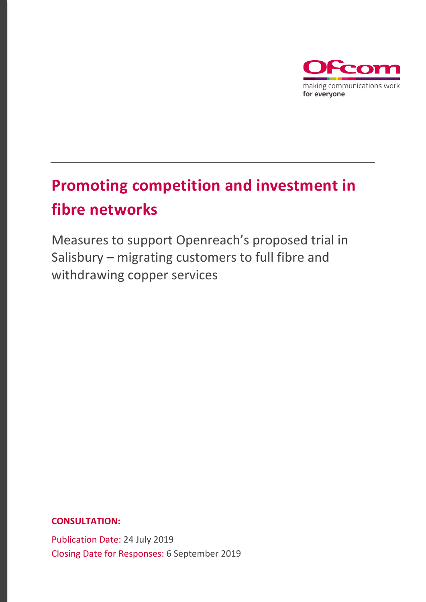

# **Promoting competition and investment in fibre networks**

Measures to support Openreach's proposed trial in Salisbury – migrating customers to full fibre and withdrawing copper services

**CONSULTATION:**

Publication Date: 24 July 2019 Closing Date for Responses: 6 September 2019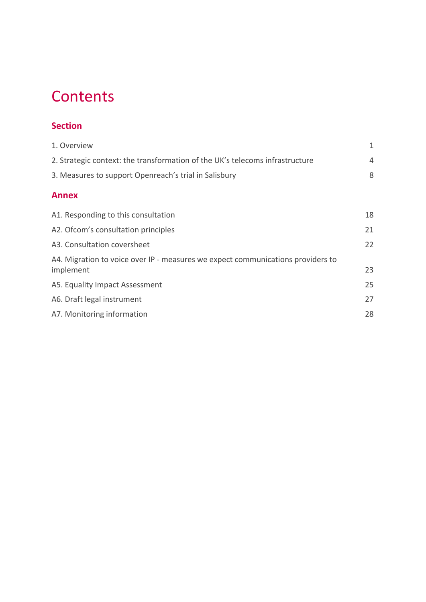## **Contents**

### **Section**

| 1. Overview                                                                                  | 1  |  |  |  |
|----------------------------------------------------------------------------------------------|----|--|--|--|
| 2. Strategic context: the transformation of the UK's telecoms infrastructure                 |    |  |  |  |
| 3. Measures to support Openreach's trial in Salisbury                                        | 8  |  |  |  |
| <b>Annex</b>                                                                                 |    |  |  |  |
| A1. Responding to this consultation                                                          | 18 |  |  |  |
| A2. Ofcom's consultation principles                                                          | 21 |  |  |  |
| A3. Consultation coversheet                                                                  | 22 |  |  |  |
| A4. Migration to voice over IP - measures we expect communications providers to<br>implement | 23 |  |  |  |
| A5. Equality Impact Assessment                                                               | 25 |  |  |  |
| A6. Draft legal instrument                                                                   | 27 |  |  |  |
| A7. Monitoring information                                                                   | 28 |  |  |  |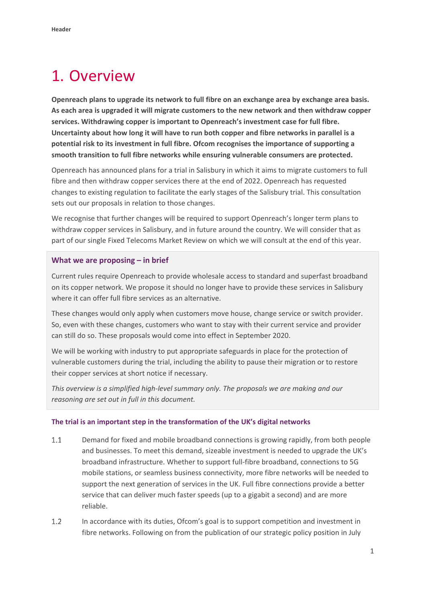## <span id="page-2-0"></span>1. Overview

**Openreach plans to upgrade its network to full fibre on an exchange area by exchange area basis. As each area is upgraded it will migrate customers to the new network and then withdraw copper services. Withdrawing copper is important to Openreach's investment case for full fibre. Uncertainty about how long it will have to run both copper and fibre networks in parallel is a potential risk to its investment in full fibre. Ofcom recognises the importance of supporting a smooth transition to full fibre networks while ensuring vulnerable consumers are protected.** 

Openreach has announced plans for a trial in Salisbury in which it aims to migrate customers to full fibre and then withdraw copper services there at the end of 2022. Openreach has requested changes to existing regulation to facilitate the early stages of the Salisbury trial. This consultation sets out our proposals in relation to those changes.

We recognise that further changes will be required to support Openreach's longer term plans to withdraw copper services in Salisbury, and in future around the country. We will consider that as part of our single Fixed Telecoms Market Review on which we will consult at the end of this year.

#### **What we are proposing – in brief**

Current rules require Openreach to provide wholesale access to standard and superfast broadband on its copper network. We propose it should no longer have to provide these services in Salisbury where it can offer full fibre services as an alternative.

These changes would only apply when customers move house, change service or switch provider. So, even with these changes, customers who want to stay with their current service and provider can still do so. These proposals would come into effect in September 2020.

We will be working with industry to put appropriate safeguards in place for the protection of vulnerable customers during the trial, including the ability to pause their migration or to restore their copper services at short notice if necessary.

*This overview is a simplified high-level summary only. The proposals we are making and our reasoning are set out in full in this document.* 

#### **The trial is an important step in the transformation of the UK's digital networks**

- $1.1$ Demand for fixed and mobile broadband connections is growing rapidly, from both people and businesses. To meet this demand, sizeable investment is needed to upgrade the UK's broadband infrastructure. Whether to support full-fibre broadband, connections to 5G mobile stations, or seamless business connectivity, more fibre networks will be needed to support the next generation of services in the UK. Full fibre connections provide a better service that can deliver much faster speeds (up to a gigabit a second) and are more reliable.
- $1.2$ In accordance with its duties, Ofcom's goal is to support competition and investment in fibre networks. Following on from the publication of our strategic policy position in July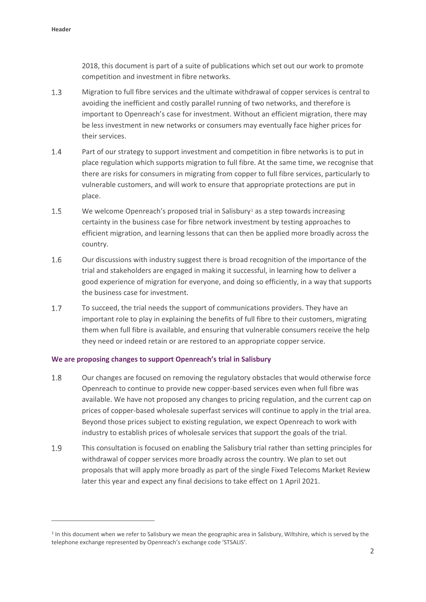$\overline{a}$ 

2018, this document is part of a suite of publications which set out our work to promote competition and investment in fibre networks.

- $1.3$ Migration to full fibre services and the ultimate withdrawal of copper services is central to avoiding the inefficient and costly parallel running of two networks, and therefore is important to Openreach's case for investment. Without an efficient migration, there may be less investment in new networks or consumers may eventually face higher prices for their services.
- 1.4 Part of our strategy to support investment and competition in fibre networks is to put in place regulation which supports migration to full fibre. At the same time, we recognise that there are risks for consumers in migrating from copper to full fibre services, particularly to vulnerable customers, and will work to ensure that appropriate protections are put in place.
- $1.5$ We welcome Openreach's proposed trial in Salisbury<sup>[1](#page-3-0)</sup> as a step towards increasing certainty in the business case for fibre network investment by testing approaches to efficient migration, and learning lessons that can then be applied more broadly across the country.
- 1.6 Our discussions with industry suggest there is broad recognition of the importance of the trial and stakeholders are engaged in making it successful, in learning how to deliver a good experience of migration for everyone, and doing so efficiently, in a way that supports the business case for investment.
- $1.7$ To succeed, the trial needs the support of communications providers. They have an important role to play in explaining the benefits of full fibre to their customers, migrating them when full fibre is available, and ensuring that vulnerable consumers receive the help they need or indeed retain or are restored to an appropriate copper service.

#### **We are proposing changes to support Openreach's trial in Salisbury**

- 1.8 Our changes are focused on removing the regulatory obstacles that would otherwise force Openreach to continue to provide new copper-based services even when full fibre was available. We have not proposed any changes to pricing regulation, and the current cap on prices of copper-based wholesale superfast services will continue to apply in the trial area. Beyond those prices subject to existing regulation, we expect Openreach to work with industry to establish prices of wholesale services that support the goals of the trial.
- $1.9$ This consultation is focused on enabling the Salisbury trial rather than setting principles for withdrawal of copper services more broadly across the country. We plan to set out proposals that will apply more broadly as part of the single Fixed Telecoms Market Review later this year and expect any final decisions to take effect on 1 April 2021.

<span id="page-3-0"></span> $1$  In this document when we refer to Salisbury we mean the geographic area in Salisbury, Wiltshire, which is served by the telephone exchange represented by Openreach's exchange code 'STSALIS'.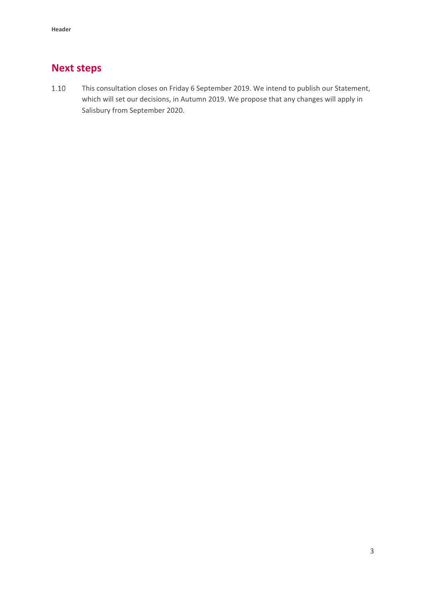## **Next steps**

This consultation closes on Friday 6 September 2019. We intend to publish our Statement,  $1.10$ which will set our decisions, in Autumn 2019. We propose that any changes will apply in Salisbury from September 2020.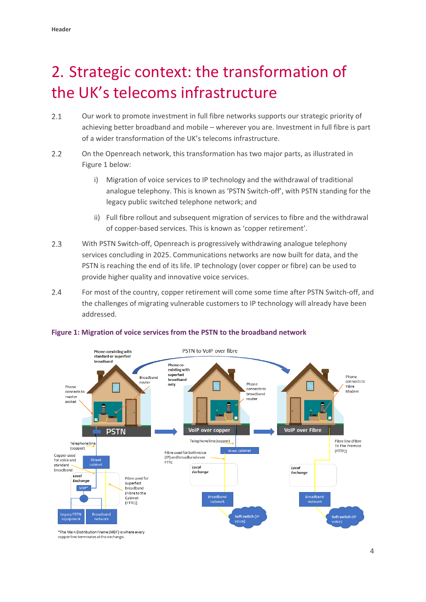# <span id="page-5-0"></span>2. Strategic context: the transformation of the UK's telecoms infrastructure

- $2.1$ Our work to promote investment in full fibre networks supports our strategic priority of achieving better broadband and mobile – wherever you are. Investment in full fibre is part of a wider transformation of the UK's telecoms infrastructure.
- $2.2$ On the Openreach network, this transformation has two major parts, as illustrated in Figure 1 below:
	- i) Migration of voice services to IP technology and the withdrawal of traditional analogue telephony. This is known as 'PSTN Switch-off', with PSTN standing for the legacy public switched telephone network; and
	- ii) Full fibre rollout and subsequent migration of services to fibre and the withdrawal of copper-based services. This is known as 'copper retirement'.
- $2.3$ With PSTN Switch-off, Openreach is progressively withdrawing analogue telephony services concluding in 2025. Communications networks are now built for data, and the PSTN is reaching the end of its life. IP technology (over copper or fibre) can be used to provide higher quality and innovative voice services.
- $2.4$ For most of the country, copper retirement will come some time after PSTN Switch-off, and the challenges of migrating vulnerable customers to IP technology will already have been addressed.



#### **Figure 1: Migration of voice services from the PSTN to the broadband network**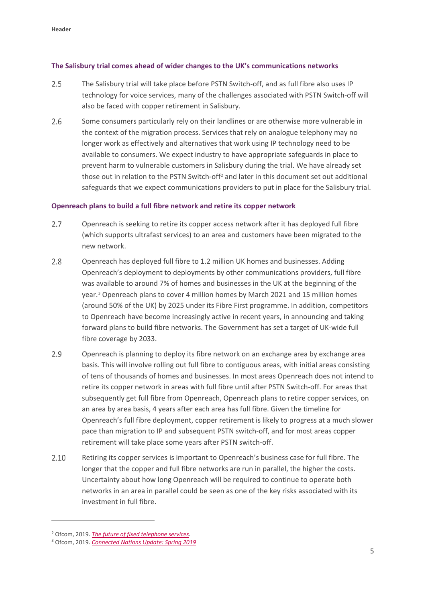#### **The Salisbury trial comes ahead of wider changes to the UK's communications networks**

- $2.5$ The Salisbury trial will take place before PSTN Switch-off, and as full fibre also uses IP technology for voice services, many of the challenges associated with PSTN Switch-off will also be faced with copper retirement in Salisbury.
- 2.6 Some consumers particularly rely on their landlines or are otherwise more vulnerable in the context of the migration process. Services that rely on analogue telephony may no longer work as effectively and alternatives that work using IP technology need to be available to consumers. We expect industry to have appropriate safeguards in place to prevent harm to vulnerable customers in Salisbury during the trial. We have already set those out in relation to the PSTN Switch-off<sup>[2](#page-6-0)</sup> and later in this document set out additional safeguards that we expect communications providers to put in place for the Salisbury trial.

#### **Openreach plans to build a full fibre network and retire its copper network**

- $2.7$ Openreach is seeking to retire its copper access network after it has deployed full fibre (which supports ultrafast services) to an area and customers have been migrated to the new network.
- $2.8$ Openreach has deployed full fibre to 1.2 million UK homes and businesses. Adding Openreach's deployment to deployments by other communications providers, full fibre was available to around 7% of homes and businesses in the UK at the beginning of the year.[3](#page-6-1) Openreach plans to cover 4 million homes by March 2021 and 15 million homes (around 50% of the UK) by 2025 under its Fibre First programme. In addition, competitors to Openreach have become increasingly active in recent years, in announcing and taking forward plans to build fibre networks. The Government has set a target of UK-wide full fibre coverage by 2033.
- $2.9$ Openreach is planning to deploy its fibre network on an exchange area by exchange area basis. This will involve rolling out full fibre to contiguous areas, with initial areas consisting of tens of thousands of homes and businesses. In most areas Openreach does not intend to retire its copper network in areas with full fibre until after PSTN Switch-off. For areas that subsequently get full fibre from Openreach, Openreach plans to retire copper services, on an area by area basis, 4 years after each area has full fibre. Given the timeline for Openreach's full fibre deployment, copper retirement is likely to progress at a much slower pace than migration to IP and subsequent PSTN switch-off, and for most areas copper retirement will take place some years after PSTN switch-off.
- 2.10 Retiring its copper services is important to Openreach's business case for full fibre. The longer that the copper and full fibre networks are run in parallel, the higher the costs. Uncertainty about how long Openreach will be required to continue to operate both networks in an area in parallel could be seen as one of the key risks associated with its investment in full fibre.

 $\overline{a}$ 

<span id="page-6-0"></span><sup>2</sup> Ofcom, 2019. *[The future of fixed telephone services.](https://www.ofcom.org.uk/__data/assets/pdf_file/0032/137966/future-fixed-telephone-services.pdf)*

<span id="page-6-1"></span><sup>3</sup> Ofcom, 2019. *[Connected Nations Update: Spring 2019](https://www.ofcom.org.uk/__data/assets/pdf_file/0021/146613/connected-nations-update-spring-2019.pdf)*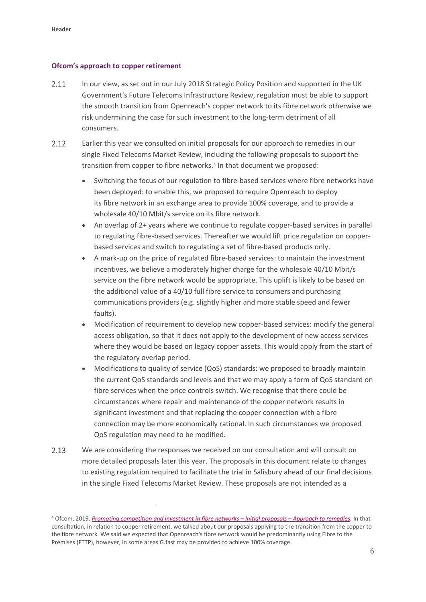<u>.</u>

#### **Ofcom's approach to copper retirement**

- $2.11$ In our view, as set out in our July 2018 Strategic Policy Position and supported in the UK Government's Future Telecoms Infrastructure Review, regulation must be able to support the smooth transition from Openreach's copper network to its fibre network otherwise we risk undermining the case for such investment to the long-term detriment of all consumers.
- $2.12$ Earlier this year we consulted on initial proposals for our approach to remedies in our single Fixed Telecoms Market Review, including the following proposals to support the transition from copper to fibre networks.<sup>[4](#page-7-0)</sup> In that document we proposed:
	- Switching the focus of our regulation to fibre-based services where fibre networks have been deployed: to enable this, we proposed to require Openreach to deploy its fibre network in an exchange area to provide 100% coverage, and to provide a wholesale 40/10 Mbit/s service on its fibre network.
	- An overlap of 2+ years where we continue to regulate copper-based services in parallel to regulating fibre-based services. Thereafter we would lift price regulation on copperbased services and switch to regulating a set of fibre-based products only.
	- A mark-up on the price of regulated fibre-based services: to maintain the investment incentives, we believe a moderately higher charge for the wholesale 40/10 Mbit/s service on the fibre network would be appropriate. This uplift is likely to be based on the additional value of a 40/10 full fibre service to consumers and purchasing communications providers (e.g. slightly higher and more stable speed and fewer faults).
	- Modification of requirement to develop new copper-based services: modify the general access obligation, so that it does not apply to the development of new access services where they would be based on legacy copper assets. This would apply from the start of the regulatory overlap period.
	- Modifications to quality of service (QoS) standards: we proposed to broadly maintain the current QoS standards and levels and that we may apply a form of QoS standard on fibre services when the price controls switch. We recognise that there could be circumstances where repair and maintenance of the copper network results in significant investment and that replacing the copper connection with a fibre connection may be more economically rational. In such circumstances we proposed QoS regulation may need to be modified.
- $2.13$ We are considering the responses we received on our consultation and will consult on more detailed proposals later this year. The proposals in this document relate to changes to existing regulation required to facilitate the trial in Salisbury ahead of our final decisions in the single Fixed Telecoms Market Review. These proposals are not intended as a

<span id="page-7-0"></span><sup>4</sup> Ofcom, 2019. *[Promoting competition and investment in fibre networks –](https://www.ofcom.org.uk/consultations-and-statements/category-1/promoting-investment-competition-fibre-networks-approach-remedies) Initial proposals – Approach to remedies.* In that consultation, in relation to copper retirement, we talked about our proposals applying to the transition from the copper to the fibre network. We said we expected that Openreach's fibre network would be predominantly using Fibre to the Premises (FTTP), however, in some areas G.fast may be provided to achieve 100% coverage.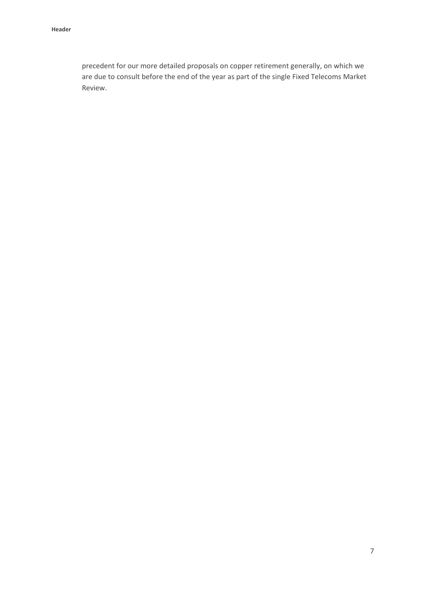precedent for our more detailed proposals on copper retirement generally, on which we are due to consult before the end of the year as part of the single Fixed Telecoms Market Review.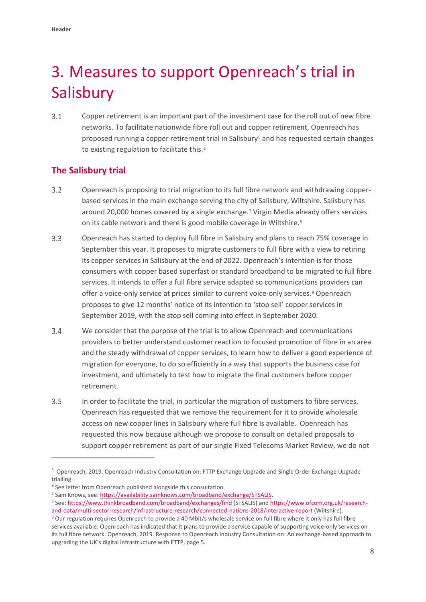# <span id="page-9-0"></span>3. Measures to support Openreach's trial in **Salisbury**

 $3.1$ Copper retirement is an important part of the investment case for the roll out of new fibre networks. To facilitate nationwide fibre roll out and copper retirement, Openreach has proposed running a copper retirement trial in Salisbury<sup>[5](#page-9-1)</sup> and has requested certain changes to existing regulation to facilitate this.<sup>6</sup>

### **The Salisbury trial**

- $3.2$ Openreach is proposing to trial migration to its full fibre network and withdrawing copperbased services in the main exchange serving the city of Salisbury, Wiltshire. Salisbury has around 20,000 homes covered by a single exchange.[7](#page-9-3) Virgin Media already offers services on its cable network and there is good mobile coverage in Wiltshire.<sup>[8](#page-9-4)</sup>
- $3.3$ Openreach has started to deploy full fibre in Salisbury and plans to reach 75% coverage in September this year. It proposes to migrate customers to full fibre with a view to retiring its copper services in Salisbury at the end of 2022. Openreach's intention is for those consumers with copper based superfast or standard broadband to be migrated to full fibre services. It intends to offer a full fibre service adapted so communications providers can offer a voice-only service at prices similar to current voice-only services.<sup>[9](#page-9-5)</sup> Openreach proposes to give 12 months' notice of its intention to 'stop sell' copper services in September 2019, with the stop sell coming into effect in September 2020.
- $3.4$ We consider that the purpose of the trial is to allow Openreach and communications providers to better understand customer reaction to focused promotion of fibre in an area and the steady withdrawal of copper services, to learn how to deliver a good experience of migration for everyone, to do so efficiently in a way that supports the business case for investment, and ultimately to test how to migrate the final customers before copper retirement.
- $3.5$ In order to facilitate the trial, in particular the migration of customers to fibre services, Openreach has requested that we remove the requirement for it to provide wholesale access on new copper lines in Salisbury where full fibre is available. Openreach has requested this now because although we propose to consult on detailed proposals to support copper retirement as part of our single Fixed Telecoms Market Review, we do not

<u>.</u>

<span id="page-9-1"></span><sup>5</sup> Openreach, 2019. Openreach Industry Consultation on: FTTP Exchange Upgrade and Single Order Exchange Upgrade trialling.

<span id="page-9-2"></span><sup>6</sup> See letter from Openreach published alongside this consultation.

<span id="page-9-4"></span><span id="page-9-3"></span><sup>&</sup>lt;sup>7</sup> Sam Knows, see: https://availability.samknows.com/broadband/exchange/STSALIS.<br><sup>8</sup> See[: https://www.thinkbroadband.com/broadband/exchanges/find \(](https://www.thinkbroadband.com/broadband/exchanges/find)STSALIS) and [https://www.ofcom.org.uk/research](https://www.ofcom.org.uk/research-and-data/multi-sector-research/infrastructure-research/connected-nations-2018/interactive-report)and-data/multi-sector-research/infrastructure-research/connected-nations-2018/interactive-report (Wiltshire).<br><sup>9</sup> Our regulation requires Openreach to provide a 40 Mbit/s wholesale service on full fibre where it only has f

<span id="page-9-5"></span>services available. Openreach has indicated that it plans to provide a service capable of supporting voice-only services on its full fibre network. Openreach, 2019. Response to Openreach Industry Consultation on: An exchange-based approach to upgrading the UK's digital infrastructure with FTTP, page 5.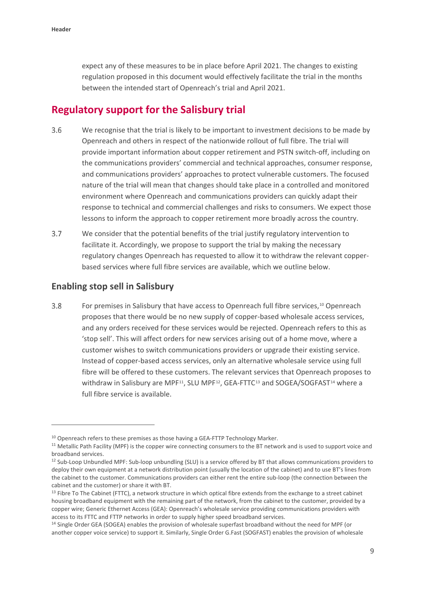expect any of these measures to be in place before April 2021. The changes to existing regulation proposed in this document would effectively facilitate the trial in the months between the intended start of Openreach's trial and April 2021.

### **Regulatory support for the Salisbury trial**

- $3.6$ We recognise that the trial is likely to be important to investment decisions to be made by Openreach and others in respect of the nationwide rollout of full fibre. The trial will provide important information about copper retirement and PSTN switch-off, including on the communications providers' commercial and technical approaches, consumer response, and communications providers' approaches to protect vulnerable customers. The focused nature of the trial will mean that changes should take place in a controlled and monitored environment where Openreach and communications providers can quickly adapt their response to technical and commercial challenges and risks to consumers. We expect those lessons to inform the approach to copper retirement more broadly across the country.
- $3.7$ We consider that the potential benefits of the trial justify regulatory intervention to facilitate it. Accordingly, we propose to support the trial by making the necessary regulatory changes Openreach has requested to allow it to withdraw the relevant copperbased services where full fibre services are available, which we outline below.

#### **Enabling stop sell in Salisbury**

.<br>-

 $3.8$ For premises in Salisbury that have access to Openreach full fibre services,<sup>[10](#page-10-0)</sup> Openreach proposes that there would be no new supply of copper-based wholesale access services, and any orders received for these services would be rejected. Openreach refers to this as 'stop sell'. This will affect orders for new services arising out of a home move, where a customer wishes to switch communications providers or upgrade their existing service. Instead of copper-based access services, only an alternative wholesale service using full fibre will be offered to these customers. The relevant services that Openreach proposes to withdraw in Salisbury are MPF<sup>11</sup>, SLU MPF<sup>12</sup>, GEA-FTTC<sup>[13](#page-10-3)</sup> and SOGEA/SOGFAST<sup>[14](#page-10-4)</sup> where a full fibre service is available.

<span id="page-10-0"></span><sup>&</sup>lt;sup>10</sup> Openreach refers to these premises as those having a GEA-FTTP Technology Marker.

<span id="page-10-1"></span><sup>11</sup> Metallic Path Facility (MPF) is the copper wire connecting consumers to the BT network and is used to support voice and broadband services.

<span id="page-10-2"></span><sup>&</sup>lt;sup>12</sup> Sub-Loop Unbundled MPF: Sub-loop unbundling (SLU) is a service offered by BT that allows communications providers to deploy their own equipment at a network distribution point (usually the location of the cabinet) and to use BT's lines from the cabinet to the customer. Communications providers can either rent the entire sub-loop (the connection between the cabinet and the customer) or share it with BT.

<span id="page-10-3"></span><sup>&</sup>lt;sup>13</sup> Fibre To The Cabinet (FTTC), a network structure in which optical fibre extends from the exchange to a street cabinet housing broadband equipment with the remaining part of the network, from the cabinet to the customer, provided by a copper wire; Generic Ethernet Access (GEA): Openreach's wholesale service providing communications providers with access to its FTTC and FTTP networks in order to supply higher speed broadband services.

<span id="page-10-4"></span><sup>14</sup> Single Order GEA (SOGEA) enables the provision of wholesale superfast broadband without the need for MPF (or another copper voice service) to support it. Similarly, Single Order G.Fast (SOGFAST) enables the provision of wholesale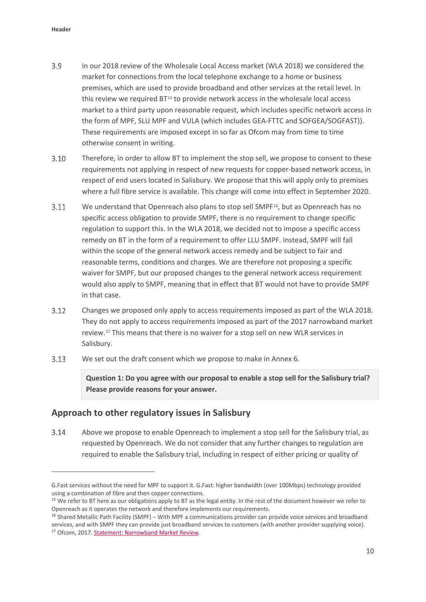.<br>-

- $3.9$ In our 2018 review of the Wholesale Local Access market (WLA 2018) we considered the market for connections from the local telephone exchange to a home or business premises, which are used to provide broadband and other services at the retail level. In this review we required  $BT^{15}$  $BT^{15}$  $BT^{15}$  to provide network access in the wholesale local access market to a third party upon reasonable request, which includes specific network access in the form of MPF, SLU MPF and VULA (which includes GEA-FTTC and SOFGEA/SOGFAST)). These requirements are imposed except in so far as Ofcom may from time to time otherwise consent in writing.
- $3.10$ Therefore, in order to allow BT to implement the stop sell, we propose to consent to these requirements not applying in respect of new requests for copper-based network access, in respect of end users located in Salisbury. We propose that this will apply only to premises where a full fibre service is available. This change will come into effect in September 2020.
- $3.11$ We understand that Openreach also plans to stop sell SMPF<sup>16</sup>, but as Openreach has no specific access obligation to provide SMPF, there is no requirement to change specific regulation to support this. In the WLA 2018, we decided not to impose a specific access remedy on BT in the form of a requirement to offer LLU SMPF. Instead, SMPF will fall within the scope of the general network access remedy and be subject to fair and reasonable terms, conditions and charges. We are therefore not proposing a specific waiver for SMPF, but our proposed changes to the general network access requirement would also apply to SMPF, meaning that in effect that BT would not have to provide SMPF in that case.
- $3.12$ Changes we proposed only apply to access requirements imposed as part of the WLA 2018. They do not apply to access requirements imposed as part of the 2017 narrowband market review.[17](#page-11-2) This means that there is no waiver for a stop sell on new WLR services in Salisbury.
- $3.13$ We set out the draft consent which we propose to make in Annex 6.

**Question 1: Do you agree with our proposal to enable a stop sell for the Salisbury trial? Please provide reasons for your answer.**

#### **Approach to other regulatory issues in Salisbury**

 $3.14$ Above we propose to enable Openreach to implement a stop sell for the Salisbury trial, as requested by Openreach. We do not consider that any further changes to regulation are required to enable the Salisbury trial, including in respect of either pricing or quality of

G.Fast services without the need for MPF to support it. G.Fast: higher bandwidth (over 100Mbps) technology provided using a combination of fibre and then copper connections.<br><sup>15</sup> We refer to BT here as our obligations apply to BT as the legal entity. In the rest of the document however we refer to

<span id="page-11-0"></span>Openreach as it operates the network and therefore implements our requirements.<br><sup>16</sup> Shared Metallic Path Facility (SMPF) – With MPF a communications provider can provide voice services and broadband

<span id="page-11-2"></span><span id="page-11-1"></span>services, and with SMPF they can provide just broadband services to customers (with another provider supplying voice).<br><sup>17</sup> Ofcom, 2017[. Statement: Narrowband Market Review.](https://www.ofcom.org.uk/consultations-and-statements/category-1/narrowband-market-review)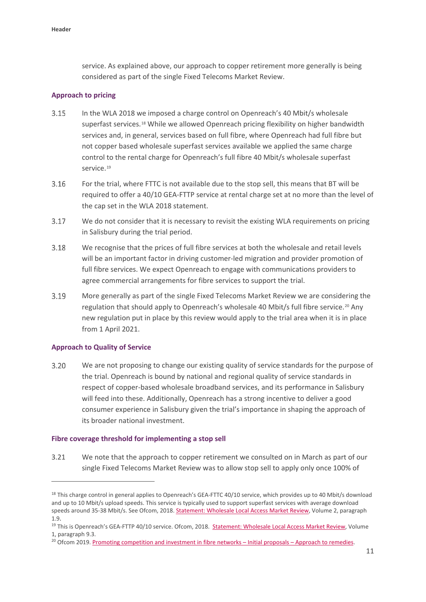service. As explained above, our approach to copper retirement more generally is being considered as part of the single Fixed Telecoms Market Review.

#### **Approach to pricing**

- $3.15$ In the WLA 2018 we imposed a charge control on Openreach's 40 Mbit/s wholesale superfast services.[18](#page-12-0) While we allowed Openreach pricing flexibility on higher bandwidth services and, in general, services based on full fibre, where Openreach had full fibre but not copper based wholesale superfast services available we applied the same charge control to the rental charge for Openreach's full fibre 40 Mbit/s wholesale superfast service.<sup>[19](#page-12-1)</sup>
- $3.16$ For the trial, where FTTC is not available due to the stop sell, this means that BT will be required to offer a 40/10 GEA-FTTP service at rental charge set at no more than the level of the cap set in the WLA 2018 statement.
- 3.17 We do not consider that it is necessary to revisit the existing WLA requirements on pricing in Salisbury during the trial period.
- 3.18 We recognise that the prices of full fibre services at both the wholesale and retail levels will be an important factor in driving customer-led migration and provider promotion of full fibre services. We expect Openreach to engage with communications providers to agree commercial arrangements for fibre services to support the trial.
- $3.19$ More generally as part of the single Fixed Telecoms Market Review we are considering the regulation that should apply to Openreach's wholesale 40 Mbit/s full fibre service.<sup>[20](#page-12-2)</sup> Any new regulation put in place by this review would apply to the trial area when it is in place from 1 April 2021.

#### **Approach to Quality of Service**

<u>.</u>

 $3.20$ We are not proposing to change our existing quality of service standards for the purpose of the trial. Openreach is bound by national and regional quality of service standards in respect of copper-based wholesale broadband services, and its performance in Salisbury will feed into these. Additionally, Openreach has a strong incentive to deliver a good consumer experience in Salisbury given the trial's importance in shaping the approach of its broader national investment.

#### **Fibre coverage threshold for implementing a stop sell**

3.21 We note that the approach to copper retirement we consulted on in March as part of our single Fixed Telecoms Market Review was to allow stop sell to apply only once 100% of

<span id="page-12-0"></span><sup>&</sup>lt;sup>18</sup> This charge control in general applies to Openreach's GEA-FTTC 40/10 service, which provides up to 40 Mbit/s download and up to 10 Mbit/s upload speeds. This service is typically used to support superfast services with average download speeds around 35-38 Mbit/s. See Ofcom, 2018. [Statement: Wholesale Local Access Market Review,](https://www.ofcom.org.uk/__data/assets/pdf_file/0023/112487/wla-statement-vol-2.pdf) Volume 2, paragraph

<span id="page-12-1"></span><sup>1.9.&</sup>lt;br><sup>19</sup> This is Openreach's GEA-FTTP 40/10 service. Ofcom, 2018. [Statement: Wholesale Local Access Market Review,](https://www.ofcom.org.uk/__data/assets/pdf_file/0020/112475/wla-statement-vol-1.pdf) Volume 1, paragraph 9.3.

<span id="page-12-2"></span><sup>&</sup>lt;sup>20</sup> Ofcom 2019[. Promoting competition and investment in fibre networks –](https://www.ofcom.org.uk/consultations-and-statements/category-1/promoting-investment-competition-fibre-networks-approach-remedies) Initial proposals – Approach to remedies.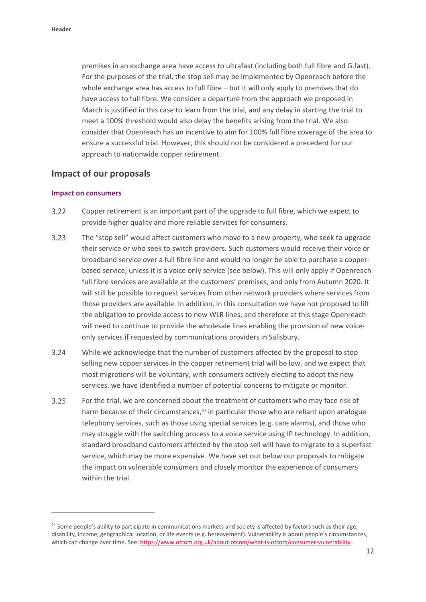premises in an exchange area have access to ultrafast (including both full fibre and G.fast). For the purposes of the trial, the stop sell may be implemented by Openreach before the whole exchange area has access to full fibre – but it will only apply to premises that do have access to full fibre. We consider a departure from the approach we proposed in March is justified in this case to learn from the trial, and any delay in starting the trial to meet a 100% threshold would also delay the benefits arising from the trial. We also consider that Openreach has an incentive to aim for 100% full fibre coverage of the area to ensure a successful trial. However, this should not be considered a precedent for our approach to nationwide copper retirement.

#### **Impact of our proposals**

#### **Impact on consumers**

.<br>-

- $3.22$ Copper retirement is an important part of the upgrade to full fibre, which we expect to provide higher quality and more reliable services for consumers.
- $3.23$ The "stop sell" would affect customers who move to a new property, who seek to upgrade their service or who seek to switch providers. Such customers would receive their voice or broadband service over a full fibre line and would no longer be able to purchase a copperbased service, unless it is a voice only service (see below). This will only apply if Openreach full fibre services are available at the customers' premises, and only from Autumn 2020. It will still be possible to request services from other network providers where services from those providers are available. In addition, in this consultation we have not proposed to lift the obligation to provide access to new WLR lines, and therefore at this stage Openreach will need to continue to provide the wholesale lines enabling the provision of new voiceonly services if requested by communications providers in Salisbury.
- $3.24$ While we acknowledge that the number of customers affected by the proposal to stop selling new copper services in the copper retirement trial will be low, and we expect that most migrations will be voluntary, with consumers actively electing to adopt the new services, we have identified a number of potential concerns to mitigate or monitor.
- $3.25$ For the trial, we are concerned about the treatment of customers who may face risk of harm because of their circumstances, $21$  in particular those who are reliant upon analogue telephony services, such as those using special services (e.g. care alarms), and those who may struggle with the switching process to a voice service using IP technology. In addition, standard broadband customers affected by the stop sell will have to migrate to a superfast service, which may be more expensive. We have set out below our proposals to mitigate the impact on vulnerable consumers and closely monitor the experience of consumers within the trial.

<span id="page-13-0"></span><sup>&</sup>lt;sup>21</sup> Some people's ability to participate in communications markets and society is affected by factors such as their age, disability, income, geographical location, or life events (e.g. bereavement). Vulnerability is about people's circumstances, which can change over time. See[: https://www.ofcom.org.uk/about-ofcom/what-is-ofcom/consumer-vulnerability](https://www.ofcom.org.uk/about-ofcom/what-is-ofcom/consumer-vulnerability) .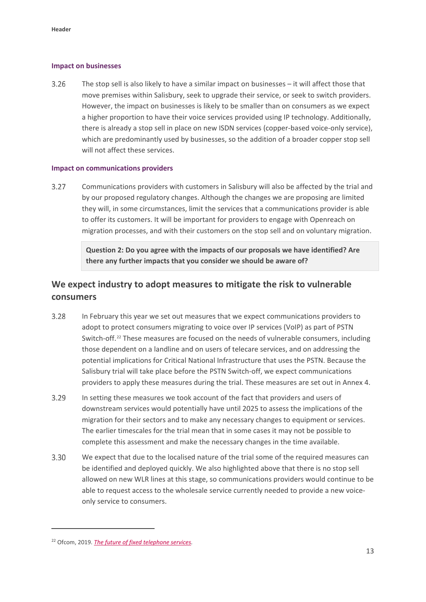#### **Impact on businesses**

3.26 The stop sell is also likely to have a similar impact on businesses – it will affect those that move premises within Salisbury, seek to upgrade their service, or seek to switch providers. However, the impact on businesses is likely to be smaller than on consumers as we expect a higher proportion to have their voice services provided using IP technology. Additionally, there is already a stop sell in place on new ISDN services (copper-based voice-only service), which are predominantly used by businesses, so the addition of a broader copper stop sell will not affect these services.

#### **Impact on communications providers**

 $3.27$ Communications providers with customers in Salisbury will also be affected by the trial and by our proposed regulatory changes. Although the changes we are proposing are limited they will, in some circumstances, limit the services that a communications provider is able to offer its customers. It will be important for providers to engage with Openreach on migration processes, and with their customers on the stop sell and on voluntary migration.

> **Question 2: Do you agree with the impacts of our proposals we have identified? Are there any further impacts that you consider we should be aware of?**

### **We expect industry to adopt measures to mitigate the risk to vulnerable consumers**

- 3.28 In February this year we set out measures that we expect communications providers to adopt to protect consumers migrating to voice over IP services (VoIP) as part of PSTN Switch-off.[22](#page-14-0) These measures are focused on the needs of vulnerable consumers, including those dependent on a landline and on users of telecare services, and on addressing the potential implications for Critical National Infrastructure that uses the PSTN. Because the Salisbury trial will take place before the PSTN Switch-off, we expect communications providers to apply these measures during the trial. These measures are set out in Annex 4.
- $3.29$ In setting these measures we took account of the fact that providers and users of downstream services would potentially have until 2025 to assess the implications of the migration for their sectors and to make any necessary changes to equipment or services. The earlier timescales for the trial mean that in some cases it may not be possible to complete this assessment and make the necessary changes in the time available.
- 3.30 We expect that due to the localised nature of the trial some of the required measures can be identified and deployed quickly. We also highlighted above that there is no stop sell allowed on new WLR lines at this stage, so communications providers would continue to be able to request access to the wholesale service currently needed to provide a new voiceonly service to consumers.

<u>.</u>

<span id="page-14-0"></span><sup>22</sup> Ofcom, 2019. *[The future of fixed telephone services.](https://www.ofcom.org.uk/__data/assets/pdf_file/0032/137966/future-fixed-telephone-services.pdf)*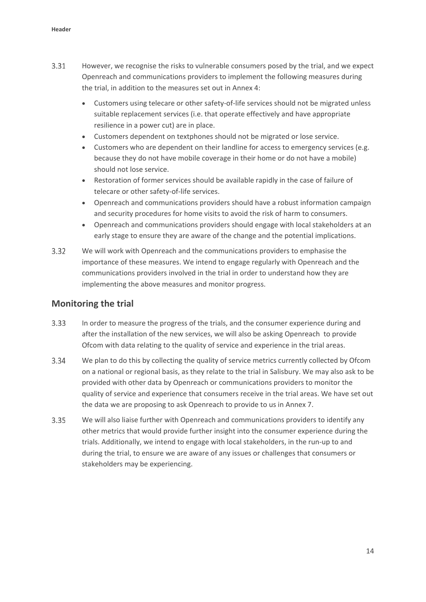- 3.31 However, we recognise the risks to vulnerable consumers posed by the trial, and we expect Openreach and communications providers to implement the following measures during the trial, in addition to the measures set out in Annex 4:
	- Customers using telecare or other safety-of-life services should not be migrated unless suitable replacement services (i.e. that operate effectively and have appropriate resilience in a power cut) are in place.
	- Customers dependent on textphones should not be migrated or lose service.
	- Customers who are dependent on their landline for access to emergency services (e.g. because they do not have mobile coverage in their home or do not have a mobile) should not lose service.
	- Restoration of former services should be available rapidly in the case of failure of telecare or other safety-of-life services.
	- Openreach and communications providers should have a robust information campaign and security procedures for home visits to avoid the risk of harm to consumers.
	- Openreach and communications providers should engage with local stakeholders at an early stage to ensure they are aware of the change and the potential implications.
- $3.32$ We will work with Openreach and the communications providers to emphasise the importance of these measures. We intend to engage regularly with Openreach and the communications providers involved in the trial in order to understand how they are implementing the above measures and monitor progress.

#### **Monitoring the trial**

- 3.33 In order to measure the progress of the trials, and the consumer experience during and after the installation of the new services, we will also be asking Openreach to provide Ofcom with data relating to the quality of service and experience in the trial areas.
- 3.34 We plan to do this by collecting the quality of service metrics currently collected by Ofcom on a national or regional basis, as they relate to the trial in Salisbury. We may also ask to be provided with other data by Openreach or communications providers to monitor the quality of service and experience that consumers receive in the trial areas. We have set out the data we are proposing to ask Openreach to provide to us in Annex 7.
- $3.35$ We will also liaise further with Openreach and communications providers to identify any other metrics that would provide further insight into the consumer experience during the trials. Additionally, we intend to engage with local stakeholders, in the run-up to and during the trial, to ensure we are aware of any issues or challenges that consumers or stakeholders may be experiencing.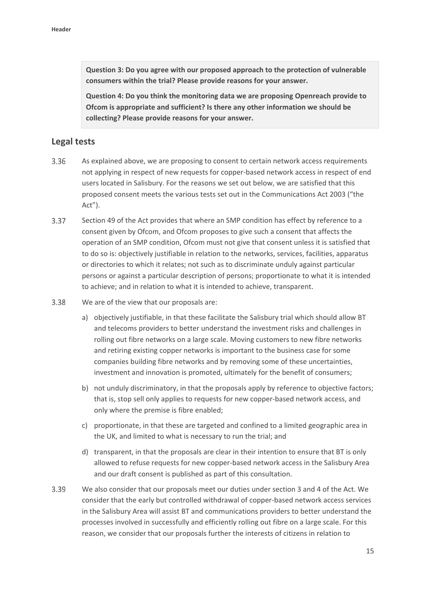**Question 3: Do you agree with our proposed approach to the protection of vulnerable consumers within the trial? Please provide reasons for your answer.** 

**Question 4: Do you think the monitoring data we are proposing Openreach provide to Ofcom is appropriate and sufficient? Is there any other information we should be collecting? Please provide reasons for your answer.** 

#### **Legal tests**

- 3.36 As explained above, we are proposing to consent to certain network access requirements not applying in respect of new requests for copper-based network access in respect of end users located in Salisbury. For the reasons we set out below, we are satisfied that this proposed consent meets the various tests set out in the Communications Act 2003 ("the Act").
- 3.37 Section 49 of the Act provides that where an SMP condition has effect by reference to a consent given by Ofcom, and Ofcom proposes to give such a consent that affects the operation of an SMP condition, Ofcom must not give that consent unless it is satisfied that to do so is: objectively justifiable in relation to the networks, services, facilities, apparatus or directories to which it relates; not such as to discriminate unduly against particular persons or against a particular description of persons; proportionate to what it is intended to achieve; and in relation to what it is intended to achieve, transparent.
- 3.38 We are of the view that our proposals are:
	- a) objectively justifiable, in that these facilitate the Salisbury trial which should allow BT and telecoms providers to better understand the investment risks and challenges in rolling out fibre networks on a large scale. Moving customers to new fibre networks and retiring existing copper networks is important to the business case for some companies building fibre networks and by removing some of these uncertainties, investment and innovation is promoted, ultimately for the benefit of consumers;
	- b) not unduly discriminatory, in that the proposals apply by reference to objective factors; that is, stop sell only applies to requests for new copper-based network access, and only where the premise is fibre enabled;
	- c) proportionate, in that these are targeted and confined to a limited geographic area in the UK, and limited to what is necessary to run the trial; and
	- d) transparent, in that the proposals are clear in their intention to ensure that BT is only allowed to refuse requests for new copper-based network access in the Salisbury Area and our draft consent is published as part of this consultation.
- 3.39 We also consider that our proposals meet our duties under section 3 and 4 of the Act. We consider that the early but controlled withdrawal of copper-based network access services in the Salisbury Area will assist BT and communications providers to better understand the processes involved in successfully and efficiently rolling out fibre on a large scale. For this reason, we consider that our proposals further the interests of citizens in relation to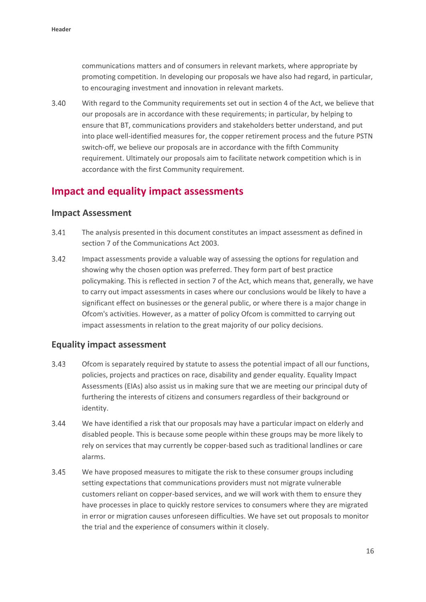communications matters and of consumers in relevant markets, where appropriate by promoting competition. In developing our proposals we have also had regard, in particular, to encouraging investment and innovation in relevant markets.

 $3.40$ With regard to the Community requirements set out in section 4 of the Act, we believe that our proposals are in accordance with these requirements; in particular, by helping to ensure that BT, communications providers and stakeholders better understand, and put into place well-identified measures for, the copper retirement process and the future PSTN switch-off, we believe our proposals are in accordance with the fifth Community requirement. Ultimately our proposals aim to facilitate network competition which is in accordance with the first Community requirement.

### **Impact and equality impact assessments**

#### **Impact Assessment**

- $3.41$ The analysis presented in this document constitutes an impact assessment as defined in section 7 of the Communications Act 2003.
- 3.42 Impact assessments provide a valuable way of assessing the options for regulation and showing why the chosen option was preferred. They form part of best practice policymaking. This is reflected in section 7 of the Act, which means that, generally, we have to carry out impact assessments in cases where our conclusions would be likely to have a significant effect on businesses or the general public, or where there is a major change in Ofcom's activities. However, as a matter of policy Ofcom is committed to carrying out impact assessments in relation to the great majority of our policy decisions.

#### **Equality impact assessment**

- $3.43$ Ofcom is separately required by statute to assess the potential impact of all our functions, policies, projects and practices on race, disability and gender equality. Equality Impact Assessments (EIAs) also assist us in making sure that we are meeting our principal duty of furthering the interests of citizens and consumers regardless of their background or identity.
- 3.44 We have identified a risk that our proposals may have a particular impact on elderly and disabled people. This is because some people within these groups may be more likely to rely on services that may currently be copper-based such as traditional landlines or care alarms.
- 3.45 We have proposed measures to mitigate the risk to these consumer groups including setting expectations that communications providers must not migrate vulnerable customers reliant on copper-based services, and we will work with them to ensure they have processes in place to quickly restore services to consumers where they are migrated in error or migration causes unforeseen difficulties. We have set out proposals to monitor the trial and the experience of consumers within it closely.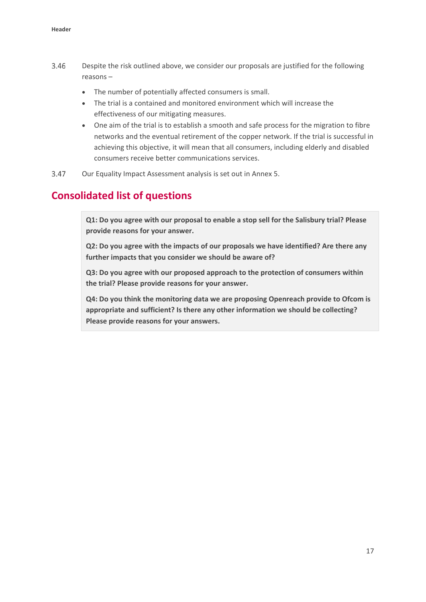- 3.46 Despite the risk outlined above, we consider our proposals are justified for the following reasons –
	- The number of potentially affected consumers is small.
	- The trial is a contained and monitored environment which will increase the effectiveness of our mitigating measures.
	- One aim of the trial is to establish a smooth and safe process for the migration to fibre networks and the eventual retirement of the copper network. If the trial is successful in achieving this objective, it will mean that all consumers, including elderly and disabled consumers receive better communications services.
- 3.47 Our Equality Impact Assessment analysis is set out in Annex 5.

### **Consolidated list of questions**

**Q1: Do you agree with our proposal to enable a stop sell for the Salisbury trial? Please provide reasons for your answer.**

**Q2: Do you agree with the impacts of our proposals we have identified? Are there any further impacts that you consider we should be aware of?**

**Q3: Do you agree with our proposed approach to the protection of consumers within the trial? Please provide reasons for your answer.** 

**Q4: Do you think the monitoring data we are proposing Openreach provide to Ofcom is appropriate and sufficient? Is there any other information we should be collecting? Please provide reasons for your answers.**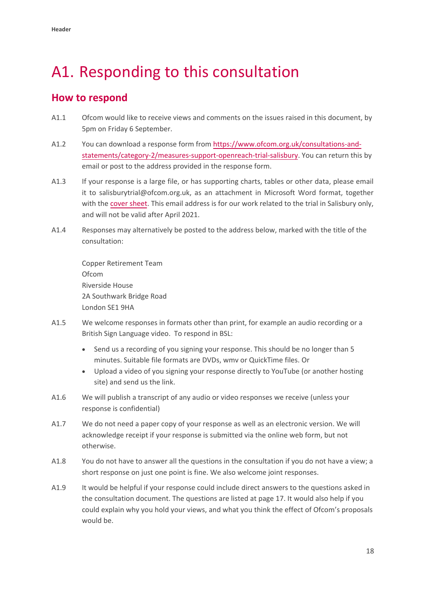## <span id="page-19-0"></span>A1. Responding to this consultation

### **How to respond**

- A1.1 Ofcom would like to receive views and comments on the issues raised in this document, by 5pm on Friday 6 September.
- A1.2 You can download a response form from [https://www.ofcom.org.uk/consultations-and](https://www.ofcom.org.uk/consultations-and-statements/category-2/promoting-competition-and-investment-in-fibre-networks)[statements/category-2/measures-support-openreach-trial-salisbury](https://www.ofcom.org.uk/consultations-and-statements/category-2/promoting-competition-and-investment-in-fibre-networks). You can return this by email or post to the address provided in the response form.
- A1.3 If your response is a large file, or has supporting charts, tables or other data, please email it to salisburytrial@ofcom.org.uk, as an attachment in Microsoft Word format, together with the [cover sheet.](https://www.ofcom.org.uk/consultations-and-statements/consultation-response-coversheet) This email address is for our work related to the trial in Salisbury only, and will not be valid after April 2021.
- A1.4 Responses may alternatively be posted to the address below, marked with the title of the consultation:

Copper Retirement Team Ofcom Riverside House 2A Southwark Bridge Road London SE1 9HA

- A1.5 We welcome responses in formats other than print, for example an audio recording or a British Sign Language video. To respond in BSL:
	- Send us a recording of you signing your response. This should be no longer than 5 minutes. Suitable file formats are DVDs, wmv or QuickTime files. Or
	- Upload a video of you signing your response directly to YouTube (or another hosting site) and send us the link.
- A1.6 We will publish a transcript of any audio or video responses we receive (unless your response is confidential)
- A1.7 We do not need a paper copy of your response as well as an electronic version. We will acknowledge receipt if your response is submitted via the online web form, but not otherwise.
- A1.8 You do not have to answer all the questions in the consultation if you do not have a view; a short response on just one point is fine. We also welcome joint responses.
- A1.9 It would be helpful if your response could include direct answers to the questions asked in the consultation document. The questions are listed at page 17. It would also help if you could explain why you hold your views, and what you think the effect of Ofcom's proposals would be.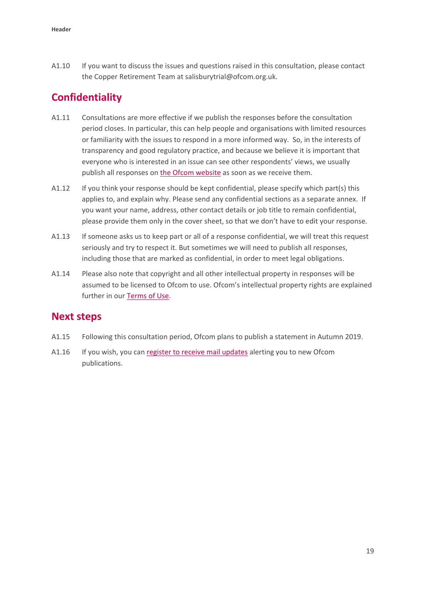A1.10 If you want to discuss the issues and questions raised in this consultation, please contact the Copper Retirement Team at salisburytrial@ofcom.org.uk.

## **Confidentiality**

- A1.11 Consultations are more effective if we publish the responses before the consultation period closes. In particular, this can help people and organisations with limited resources or familiarity with the issues to respond in a more informed way. So, in the interests of transparency and good regulatory practice, and because we believe it is important that everyone who is interested in an issue can see other respondents' views, we usually publish all responses on [the Ofcom](http://www.ofcom.org.uk/) website as soon as we receive them.
- A1.12 If you think your response should be kept confidential, please specify which part(s) this applies to, and explain why. Please send any confidential sections as a separate annex. If you want your name, address, other contact details or job title to remain confidential, please provide them only in the cover sheet, so that we don't have to edit your response.
- A1.13 If someone asks us to keep part or all of a response confidential, we will treat this request seriously and try to respect it. But sometimes we will need to publish all responses, including those that are marked as confidential, in order to meet legal obligations.
- A1.14 Please also note that copyright and all other intellectual property in responses will be assumed to be licensed to Ofcom to use. Ofcom's intellectual property rights are explained further in our [Terms of Use.](https://www.ofcom.org.uk/about-ofcom/website/terms-of-use)

### **Next steps**

- A1.15 Following this consultation period, Ofcom plans to publish a statement in Autumn 2019.
- A1.16 If you wish, you can [register to receive mail](https://www.ofcom.org.uk/about-ofcom/latest/email-updates) updates alerting you to new Ofcom publications.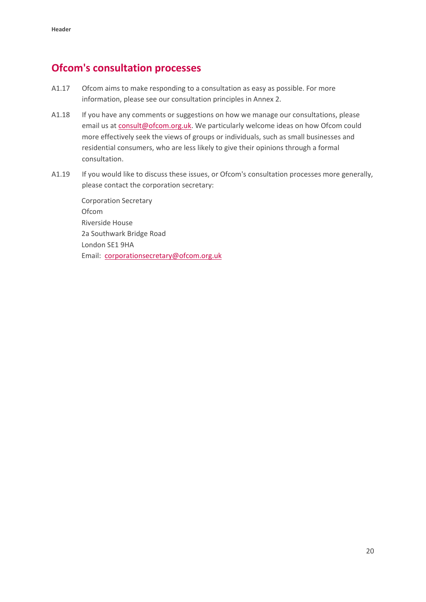### **Ofcom's consultation processes**

- A1.17 Ofcom aims to make responding to a consultation as easy as possible. For more information, please see our consultation principles in Annex 2.
- A1.18 If you have any comments or suggestions on how we manage our consultations, please email us a[t consult@ofcom.org.uk.](mailto:consult@ofcom.org.uk) We particularly welcome ideas on how Ofcom could more effectively seek the views of groups or individuals, such as small businesses and residential consumers, who are less likely to give their opinions through a formal consultation.
- A1.19 If you would like to discuss these issues, or Ofcom's consultation processes more generally, please contact the corporation secretary:

Corporation Secretary Ofcom Riverside House 2a Southwark Bridge Road London SE1 9HA Email: [corporationsecretary@ofcom.org.uk](mailto:corporationsecretary@ofcom.org.uk)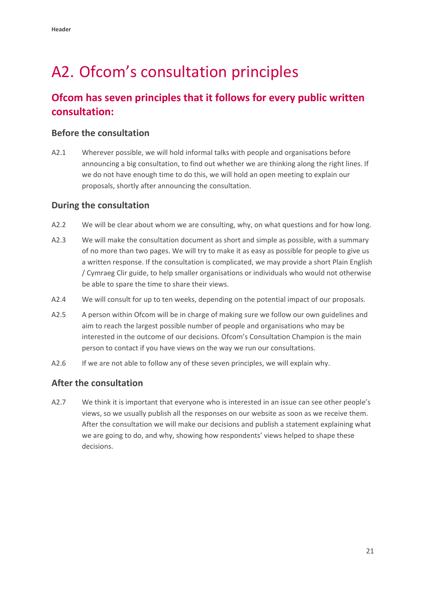## <span id="page-22-0"></span>A2. Ofcom's consultation principles

## **Ofcom has seven principles that it follows for every public written consultation:**

#### **Before the consultation**

A2.1 Wherever possible, we will hold informal talks with people and organisations before announcing a big consultation, to find out whether we are thinking along the right lines. If we do not have enough time to do this, we will hold an open meeting to explain our proposals, shortly after announcing the consultation.

#### **During the consultation**

- A2.2 We will be clear about whom we are consulting, why, on what questions and for how long.
- A2.3 We will make the consultation document as short and simple as possible, with a summary of no more than two pages. We will try to make it as easy as possible for people to give us a written response. If the consultation is complicated, we may provide a short Plain English / Cymraeg Clir guide, to help smaller organisations or individuals who would not otherwise be able to spare the time to share their views.
- A2.4 We will consult for up to ten weeks, depending on the potential impact of our proposals.
- A2.5 A person within Ofcom will be in charge of making sure we follow our own guidelines and aim to reach the largest possible number of people and organisations who may be interested in the outcome of our decisions. Ofcom's Consultation Champion is the main person to contact if you have views on the way we run our consultations.
- A2.6 If we are not able to follow any of these seven principles, we will explain why.

#### **After the consultation**

A2.7 We think it is important that everyone who is interested in an issue can see other people's views, so we usually publish all the responses on our website as soon as we receive them. After the consultation we will make our decisions and publish a statement explaining what we are going to do, and why, showing how respondents' views helped to shape these decisions.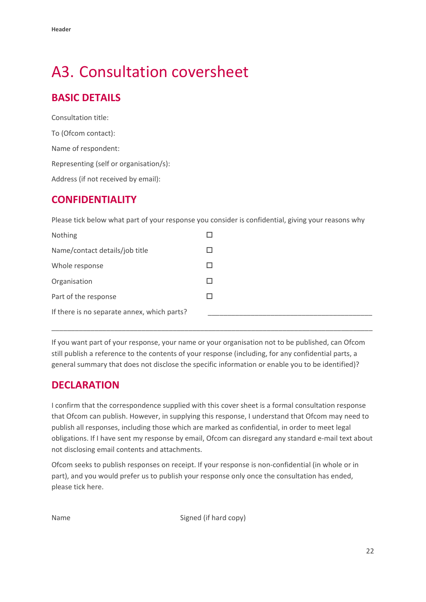## <span id="page-23-0"></span>A3. Consultation coversheet

## **BASIC DETAILS**

Consultation title: To (Ofcom contact): Name of respondent: Representing (self or organisation/s): Address (if not received by email):

### **CONFIDENTIALITY**

Please tick below what part of your response you consider is confidential, giving your reasons why

| Nothing                                     |  |
|---------------------------------------------|--|
| Name/contact details/job title              |  |
| Whole response                              |  |
| Organisation                                |  |
| Part of the response                        |  |
| If there is no separate annex, which parts? |  |

If you want part of your response, your name or your organisation not to be published, can Ofcom still publish a reference to the contents of your response (including, for any confidential parts, a general summary that does not disclose the specific information or enable you to be identified)?

\_\_\_\_\_\_\_\_\_\_\_\_\_\_\_\_\_\_\_\_\_\_\_\_\_\_\_\_\_\_\_\_\_\_\_\_\_\_\_\_\_\_\_\_\_\_\_\_\_\_\_\_\_\_\_\_\_\_\_\_\_\_\_\_\_\_\_\_\_\_\_\_\_\_\_\_\_\_\_\_\_\_

### **DECLARATION**

I confirm that the correspondence supplied with this cover sheet is a formal consultation response that Ofcom can publish. However, in supplying this response, I understand that Ofcom may need to publish all responses, including those which are marked as confidential, in order to meet legal obligations. If I have sent my response by email, Ofcom can disregard any standard e-mail text about not disclosing email contents and attachments.

Ofcom seeks to publish responses on receipt. If your response is non-confidential (in whole or in part), and you would prefer us to publish your response only once the consultation has ended, please tick here.

Name Signed (if hard copy)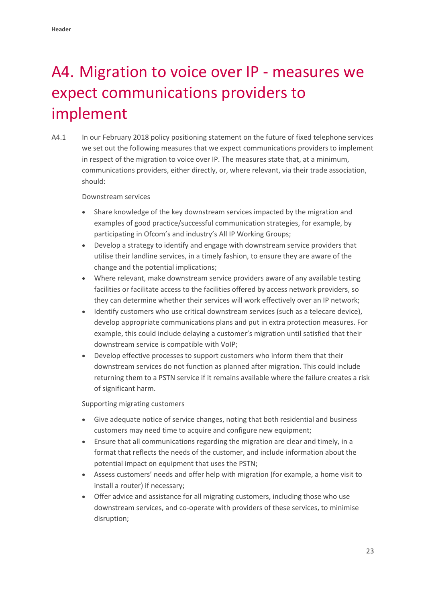## <span id="page-24-0"></span>A4. Migration to voice over IP - measures we expect communications providers to implement

A4.1 In our February 2018 policy positioning statement on the future of fixed telephone services we set out the following measures that we expect communications providers to implement in respect of the migration to voice over IP. The measures state that, at a minimum, communications providers, either directly, or, where relevant, via their trade association, should:

Downstream services

- Share knowledge of the key downstream services impacted by the migration and examples of good practice/successful communication strategies, for example, by participating in Ofcom's and industry's All IP Working Groups;
- Develop a strategy to identify and engage with downstream service providers that utilise their landline services, in a timely fashion, to ensure they are aware of the change and the potential implications;
- Where relevant, make downstream service providers aware of any available testing facilities or facilitate access to the facilities offered by access network providers, so they can determine whether their services will work effectively over an IP network;
- Identify customers who use critical downstream services (such as a telecare device), develop appropriate communications plans and put in extra protection measures. For example, this could include delaying a customer's migration until satisfied that their downstream service is compatible with VoIP;
- Develop effective processes to support customers who inform them that their downstream services do not function as planned after migration. This could include returning them to a PSTN service if it remains available where the failure creates a risk of significant harm.

Supporting migrating customers

- Give adequate notice of service changes, noting that both residential and business customers may need time to acquire and configure new equipment;
- Ensure that all communications regarding the migration are clear and timely, in a format that reflects the needs of the customer, and include information about the potential impact on equipment that uses the PSTN;
- Assess customers' needs and offer help with migration (for example, a home visit to install a router) if necessary;
- Offer advice and assistance for all migrating customers, including those who use downstream services, and co-operate with providers of these services, to minimise disruption;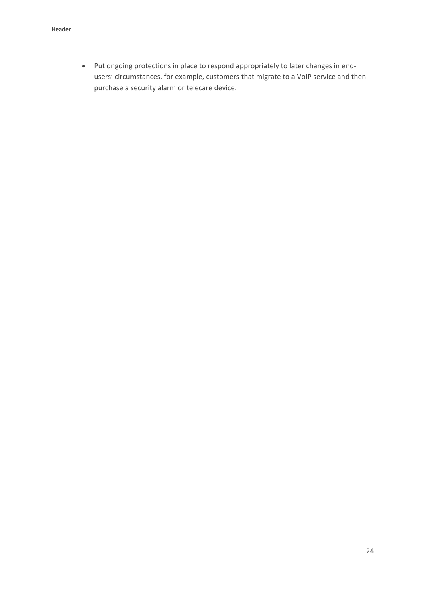• Put ongoing protections in place to respond appropriately to later changes in endusers' circumstances, for example, customers that migrate to a VoIP service and then purchase a security alarm or telecare device.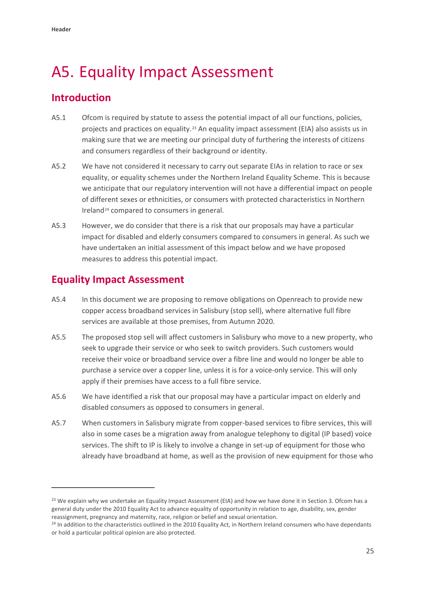**.** 

## <span id="page-26-0"></span>A5. Equality Impact Assessment

## **Introduction**

- A5.1 Ofcom is required by statute to assess the potential impact of all our functions, policies, projects and practices on equality.<sup>[23](#page-26-1)</sup> An equality impact assessment (EIA) also assists us in making sure that we are meeting our principal duty of furthering the interests of citizens and consumers regardless of their background or identity.
- A5.2 We have not considered it necessary to carry out separate EIAs in relation to race or sex equality, or equality schemes under the Northern Ireland Equality Scheme. This is because we anticipate that our regulatory intervention will not have a differential impact on people of different sexes or ethnicities, or consumers with protected characteristics in Northern Ireland[24](#page-26-2) compared to consumers in general.
- A5.3 However, we do consider that there is a risk that our proposals may have a particular impact for disabled and elderly consumers compared to consumers in general. As such we have undertaken an initial assessment of this impact below and we have proposed measures to address this potential impact.

### **Equality Impact Assessment**

- A5.4 In this document we are proposing to remove obligations on Openreach to provide new copper access broadband services in Salisbury (stop sell), where alternative full fibre services are available at those premises, from Autumn 2020.
- A5.5 The proposed stop sell will affect customers in Salisbury who move to a new property, who seek to upgrade their service or who seek to switch providers. Such customers would receive their voice or broadband service over a fibre line and would no longer be able to purchase a service over a copper line, unless it is for a voice-only service. This will only apply if their premises have access to a full fibre service.
- A5.6 We have identified a risk that our proposal may have a particular impact on elderly and disabled consumers as opposed to consumers in general.
- A5.7 When customers in Salisbury migrate from copper-based services to fibre services, this will also in some cases be a migration away from analogue telephony to digital (IP based) voice services. The shift to IP is likely to involve a change in set-up of equipment for those who already have broadband at home, as well as the provision of new equipment for those who

<span id="page-26-1"></span><sup>&</sup>lt;sup>23</sup> We explain why we undertake an Equality Impact Assessment (EIA) and how we have done it in Section 3. Ofcom has a general duty under the 2010 Equality Act to advance equality of opportunity in relation to age, disability, sex, gender reassignment, pregnancy and maternity, race, religion or belief and sexual orientation.

<span id="page-26-2"></span><sup>&</sup>lt;sup>24</sup> In addition to the characteristics outlined in the 2010 Equality Act, in Northern Ireland consumers who have dependants or hold a particular political opinion are also protected.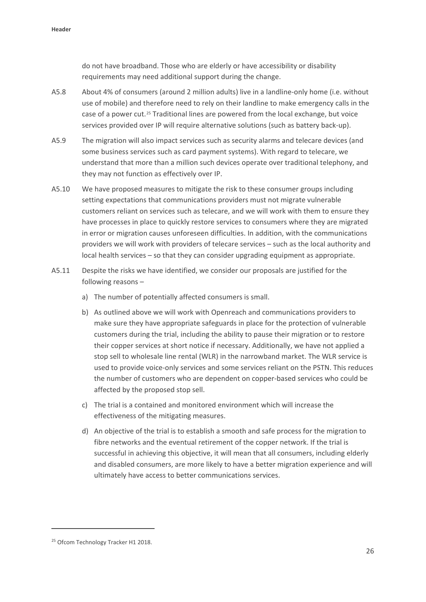do not have broadband. Those who are elderly or have accessibility or disability requirements may need additional support during the change.

- A5.8 About 4% of consumers (around 2 million adults) live in a landline-only home (i.e. without use of mobile) and therefore need to rely on their landline to make emergency calls in the case of a power cut.[25](#page-27-0) Traditional lines are powered from the local exchange, but voice services provided over IP will require alternative solutions (such as battery back-up).
- A5.9 The migration will also impact services such as security alarms and telecare devices (and some business services such as card payment systems). With regard to telecare, we understand that more than a million such devices operate over traditional telephony, and they may not function as effectively over IP.
- A5.10 We have proposed measures to mitigate the risk to these consumer groups including setting expectations that communications providers must not migrate vulnerable customers reliant on services such as telecare, and we will work with them to ensure they have processes in place to quickly restore services to consumers where they are migrated in error or migration causes unforeseen difficulties. In addition, with the communications providers we will work with providers of telecare services – such as the local authority and local health services – so that they can consider upgrading equipment as appropriate.
- A5.11 Despite the risks we have identified, we consider our proposals are justified for the following reasons –
	- a) The number of potentially affected consumers is small.
	- b) As outlined above we will work with Openreach and communications providers to make sure they have appropriate safeguards in place for the protection of vulnerable customers during the trial, including the ability to pause their migration or to restore their copper services at short notice if necessary. Additionally, we have not applied a stop sell to wholesale line rental (WLR) in the narrowband market. The WLR service is used to provide voice-only services and some services reliant on the PSTN. This reduces the number of customers who are dependent on copper-based services who could be affected by the proposed stop sell.
	- c) The trial is a contained and monitored environment which will increase the effectiveness of the mitigating measures.
	- d) An objective of the trial is to establish a smooth and safe process for the migration to fibre networks and the eventual retirement of the copper network. If the trial is successful in achieving this objective, it will mean that all consumers, including elderly and disabled consumers, are more likely to have a better migration experience and will ultimately have access to better communications services.

**.** 

<span id="page-27-0"></span><sup>&</sup>lt;sup>25</sup> Ofcom Technology Tracker H1 2018.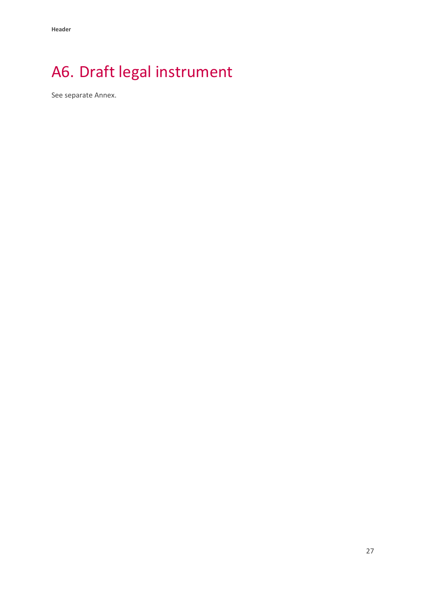# <span id="page-28-0"></span>A6. Draft legal instrument

See separate Annex.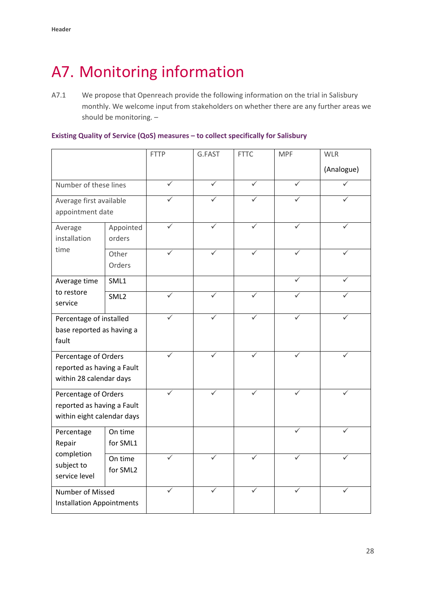## <span id="page-29-0"></span>A7. Monitoring information

A7.1 We propose that Openreach provide the following information on the trial in Salisbury monthly. We welcome input from stakeholders on whether there are any further areas we should be monitoring. –

#### **Existing Quality of Service (QoS) measures – to collect specifically for Salisbury**

|                                                                                  |                     | <b>FTTP</b> | G.FAST | <b>FTTC</b>  | <b>MPF</b>   | <b>WLR</b> |
|----------------------------------------------------------------------------------|---------------------|-------------|--------|--------------|--------------|------------|
|                                                                                  |                     |             |        |              |              | (Analogue) |
| Number of these lines                                                            |                     | ✓           | ✓      | ✓            | ✓            |            |
| Average first available<br>appointment date                                      |                     |             |        |              |              |            |
| Average<br>installation<br>time                                                  | Appointed<br>orders |             |        |              |              |            |
|                                                                                  | Other<br>Orders     |             |        |              |              |            |
| Average time<br>to restore<br>service                                            | SML1                |             |        |              |              |            |
|                                                                                  | SML <sub>2</sub>    |             |        |              |              |            |
| Percentage of installed<br>base reported as having a<br>fault                    |                     |             |        | $\checkmark$ | $\checkmark$ |            |
| Percentage of Orders<br>reported as having a Fault<br>within 28 calendar days    |                     |             |        |              |              |            |
| Percentage of Orders<br>reported as having a Fault<br>within eight calendar days |                     |             |        |              |              |            |
| Percentage<br>Repair<br>completion<br>subject to<br>service level                | On time<br>for SML1 |             |        |              |              |            |
|                                                                                  | On time<br>for SML2 |             |        |              |              |            |
| Number of Missed<br><b>Installation Appointments</b>                             |                     |             | ✓      | ✓            | ✓            |            |